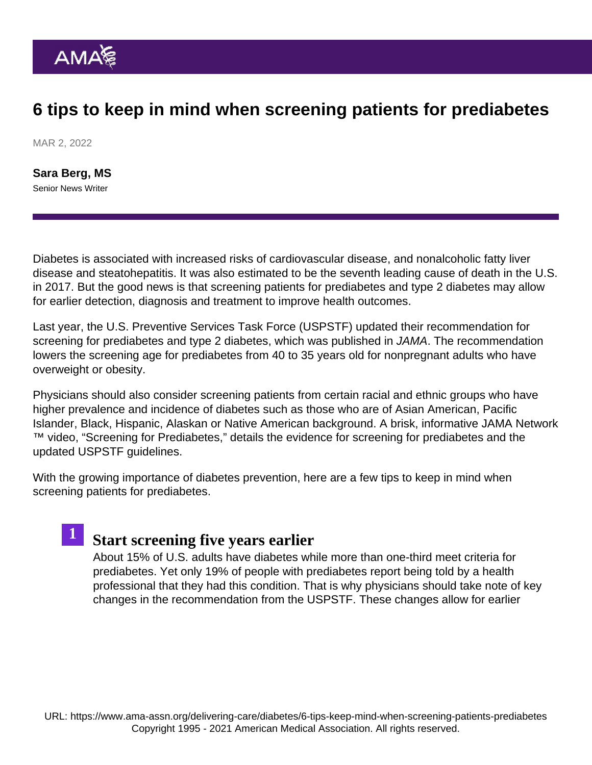### 6 tips to keep in mind when screening patients for prediabetes

MAR 2, 2022

[Sara Berg, MS](https://www.ama-assn.org/news-leadership-viewpoints/authors-news-leadership-viewpoints/sara-berg-ms) Senior News Writer

1

Diabetes is associated with increased risks of cardiovascular disease, and nonalcoholic fatty liver disease and steatohepatitis. It was also estimated to be the seventh leading cause of death in the U.S. in 2017. But the good news is that screening patients for prediabetes and type 2 diabetes may allow for earlier detection, diagnosis and treatment to improve health outcomes.

Last year, the U.S. Preventive Services Task Force (USPSTF) updated their recommendation for screening for prediabetes and type 2 diabetes, [which was published in JAMA](https://jamanetwork.com/journals/jama/fullarticle/2783414). The recommendation lowers the screening age for prediabetes from 40 to 35 years old for nonpregnant adults who have overweight or obesity.

Physicians should also consider screening patients from certain racial and ethnic groups who have higher prevalence and incidence of diabetes such as those who are of Asian American, Pacific Islander, Black, Hispanic, Alaskan or Native American background. A brisk, informative [JAMA Network](https://jamanetwork.com/) ™ video, "[Screening for Prediabetes](https://www.youtube.com/watch?v=Rn6FGb9z1JU&ab_channel=JAMANetwork)," details the evidence for screening for prediabetes and the updated USPSTF guidelines.

With the growing importance of diabetes prevention, here are a few tips to keep in mind when screening patients for prediabetes.

### [Start screening five years earlie](https://www.ama-assn.org/delivering-care/diabetes/why-start-screening-patients-prediabetes-5-years-earlier)r

About 15% of U.S. adults have diabetes while more than one-third meet criteria for prediabetes. Yet only 19% of people with prediabetes report being told by a health professional that they had this condition. That is why physicians should take note of key changes in the recommendation from the USPSTF. These changes allow for earlier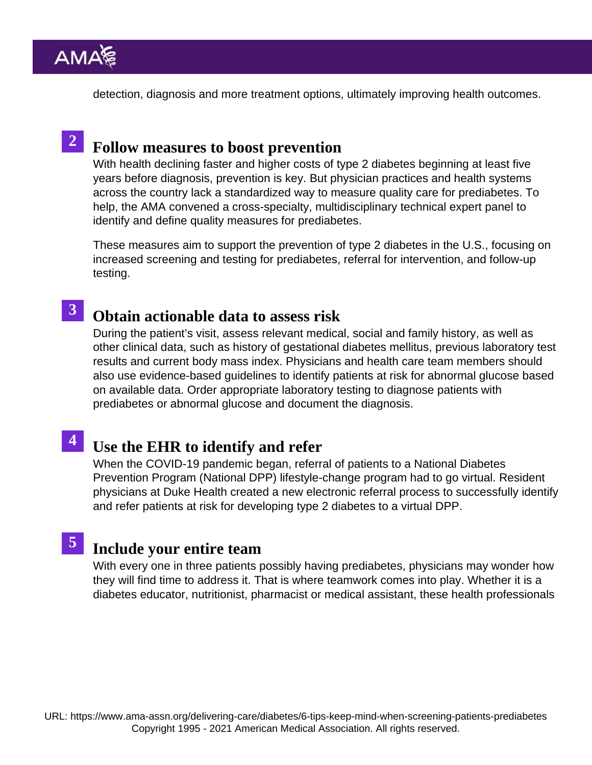detection, diagnosis and more treatment options, ultimately improving health outcomes.

## 2 [Follow measures to boost preventio](https://www.ama-assn.org/delivering-care/diabetes/these-3-measures-will-help-doctors-boost-diabetes-prevention)n

With health declining faster and higher costs of type 2 diabetes beginning at least five years before diagnosis, prevention is key. But physician practices and health systems across the country lack a standardized way to measure quality care for prediabetes. To help, the AMA convened a cross-specialty, multidisciplinary technical expert panel to identify and define quality measures for prediabetes.

These measures aim to support the prevention of type 2 diabetes in the U.S., focusing on increased screening and testing for prediabetes, referral for intervention, and follow-up testing.

#### [Obtain actionable data to assess ris](https://www.ama-assn.org/delivering-care/diabetes/how-identify-patients-undetected-prediabetes)k 3

During the patient's visit, assess relevant medical, social and family history, as well as other clinical data, such as history of gestational diabetes mellitus, previous laboratory test results and current body mass index. Physicians and health care team members should also use evidence-based guidelines to identify patients at risk for abnormal glucose based on available data. Order appropriate laboratory testing to diagnose patients with prediabetes or abnormal glucose and document the diagnosis.

# 4 [Use the EHR to identify and refer](https://www.ama-assn.org/delivering-care/diabetes/how-ehr-can-help-id-refer-patients-diabetes-prevention)

When the COVID-19 pandemic began, referral of patients to a National Diabetes Prevention Program (National DPP) lifestyle-change program had to go virtual. Resident physicians at Duke Health created a new electronic referral process to successfully identify and refer patients at risk for developing type 2 diabetes to a virtual DPP.

# 5 [Include your entire team](https://www.ama-assn.org/delivering-care/diabetes/3-ways-doctors-can-expand-reach-help-patients-prediabetes)

With every one in three patients possibly having prediabetes, physicians may wonder how they will find time to address it. That is where teamwork comes into play. Whether it is a diabetes educator, nutritionist, pharmacist or medical assistant, these health professionals